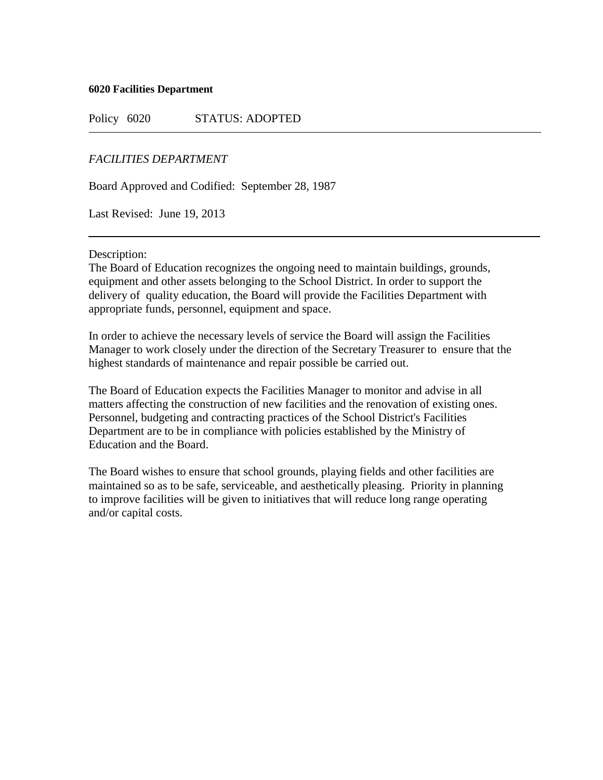### **6020 Facilities Department**

Policy 6020 STATUS: ADOPTED

# *FACILITIES DEPARTMENT*

Board Approved and Codified: September 28, 1987

Last Revised: June 19, 2013

### Description:

The Board of Education recognizes the ongoing need to maintain buildings, grounds, equipment and other assets belonging to the School District. In order to support the delivery of quality education, the Board will provide the Facilities Department with appropriate funds, personnel, equipment and space.

In order to achieve the necessary levels of service the Board will assign the Facilities Manager to work closely under the direction of the Secretary Treasurer to ensure that the highest standards of maintenance and repair possible be carried out.

The Board of Education expects the Facilities Manager to monitor and advise in all matters affecting the construction of new facilities and the renovation of existing ones. Personnel, budgeting and contracting practices of the School District's Facilities Department are to be in compliance with policies established by the Ministry of Education and the Board.

The Board wishes to ensure that school grounds, playing fields and other facilities are maintained so as to be safe, serviceable, and aesthetically pleasing. Priority in planning to improve facilities will be given to initiatives that will reduce long range operating and/or capital costs.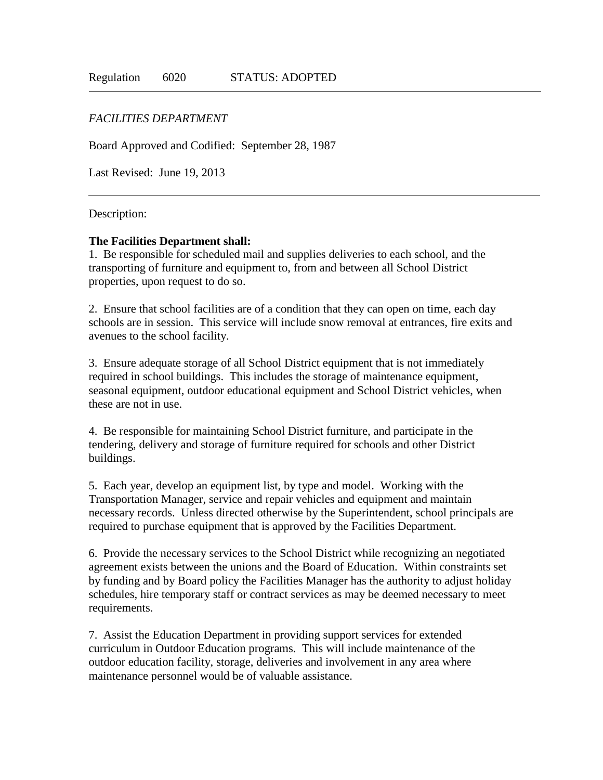# *FACILITIES DEPARTMENT*

Board Approved and Codified: September 28, 1987

Last Revised: June 19, 2013

### Description:

### **The Facilities Department shall:**

1. Be responsible for scheduled mail and supplies deliveries to each school, and the transporting of furniture and equipment to, from and between all School District properties, upon request to do so.

2. Ensure that school facilities are of a condition that they can open on time, each day schools are in session. This service will include snow removal at entrances, fire exits and avenues to the school facility.

3. Ensure adequate storage of all School District equipment that is not immediately required in school buildings. This includes the storage of maintenance equipment, seasonal equipment, outdoor educational equipment and School District vehicles, when these are not in use.

4. Be responsible for maintaining School District furniture, and participate in the tendering, delivery and storage of furniture required for schools and other District buildings.

5. Each year, develop an equipment list, by type and model. Working with the Transportation Manager, service and repair vehicles and equipment and maintain necessary records. Unless directed otherwise by the Superintendent, school principals are required to purchase equipment that is approved by the Facilities Department.

6. Provide the necessary services to the School District while recognizing an negotiated agreement exists between the unions and the Board of Education. Within constraints set by funding and by Board policy the Facilities Manager has the authority to adjust holiday schedules, hire temporary staff or contract services as may be deemed necessary to meet requirements.

7. Assist the Education Department in providing support services for extended curriculum in Outdoor Education programs. This will include maintenance of the outdoor education facility, storage, deliveries and involvement in any area where maintenance personnel would be of valuable assistance.